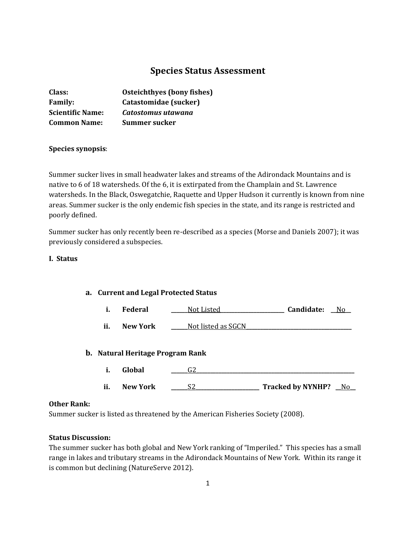# **Species Status Assessment**

| Class:                  | Osteichthyes (bony fishes) |
|-------------------------|----------------------------|
| <b>Family:</b>          | Catastomidae (sucker)      |
| <b>Scientific Name:</b> | Catostomus utawana         |
| <b>Common Name:</b>     | Summer sucker              |

# **Species synopsis**:

Summer sucker lives in small headwater lakes and streams of the Adirondack Mountains and is native to 6 of 18 watersheds. Of the 6, it is extirpated from the Champlain and St. Lawrence watersheds. In the Black, Oswegatchie, Raquette and Upper Hudson it currently is known from nine areas. Summer sucker is the only endemic fish species in the state, and its range is restricted and poorly defined.

Summer sucker has only recently been re-described as a species (Morse and Daniels 2007); it was previously considered a subspecies.

#### **I. Status**

# **a. Current and Legal Protected Status**

**i. Federal \_\_\_\_\_\_**Not Listed**\_\_\_\_\_\_\_\_\_\_\_\_\_\_\_\_\_\_\_\_\_\_\_ Candidate: \_\_**No**\_\_**

**ii. New York \_\_\_\_\_\_**Not listed as SGCN**\_\_\_\_\_\_\_\_\_\_\_\_\_\_\_\_\_\_\_\_\_\_\_\_\_\_\_\_\_\_\_\_\_\_\_\_\_\_**

# **b. Natural Heritage Program Rank**

- **i. Global \_\_\_\_\_\_**G2**\_\_\_\_\_\_\_\_\_\_\_\_\_\_\_\_\_\_\_\_\_\_\_\_\_\_\_\_\_\_\_\_\_\_\_\_\_\_\_\_\_\_\_\_\_\_\_\_\_\_\_\_\_\_\_\_\_**
- **ii. New York \_\_\_\_\_\_**S2**\_\_\_\_\_\_\_\_\_\_\_\_\_\_\_\_\_\_\_\_\_\_\_ Tracked by NYNHP? \_\_**No**\_\_**

## **Other Rank:**

Summer sucker is listed as threatened by the American Fisheries Society (2008).

## **Status Discussion:**

The summer sucker has both global and New York ranking of "Imperiled." This species has a small range in lakes and tributary streams in the Adirondack Mountains of New York. Within its range it is common but declining (NatureServe 2012).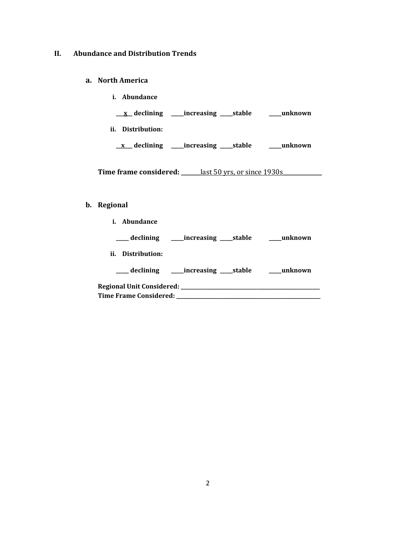# **II. Abundance and Distribution Trends**

#### **a. North America**

- **i. Abundance**
- **\_\_\_x\_\_ declining \_\_\_\_\_increasing \_\_\_\_\_stable \_\_\_\_\_unknown**
- **ii. Distribution:**
	- **\_\_x\_\_\_ declining \_\_\_\_\_increasing \_\_\_\_\_stable \_\_\_\_\_unknown**

**Time frame considered: \_\_\_\_\_\_\_**last 50 yrs, or since 1930s**\_\_\_\_\_\_\_\_\_\_\_\_\_\_**

#### **b. Regional**

| <i>i.</i> Abundance           |                                                              |  |
|-------------------------------|--------------------------------------------------------------|--|
|                               | ____ declining ______ increasing _____ stable ______ unknown |  |
| ii. Distribution:             |                                                              |  |
|                               | ____ declining ______increasing _____stable ________unknown  |  |
|                               |                                                              |  |
| <b>Time Frame Considered:</b> |                                                              |  |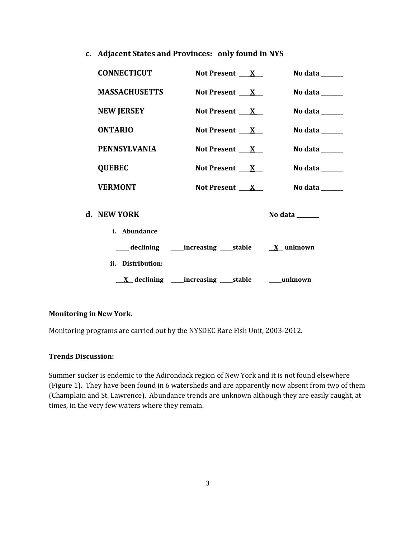**c. Adjacent States and Provinces: only found in NYS**

| <b>CONNECTICUT</b>   | Not Present $X_{-}$                                           | No data $\_\_\_\_\_\_\_\_\_\_\_\$                                           |
|----------------------|---------------------------------------------------------------|-----------------------------------------------------------------------------|
| <b>MASSACHUSETTS</b> | Not Present $X_{-}$                                           | No data ______                                                              |
| <b>NEW JERSEY</b>    | Not Present $X_{-}$                                           | No data $\_\_$                                                              |
| <b>ONTARIO</b>       | Not Present $X_{-}$                                           | No data $\frac{1}{2}$                                                       |
| <b>PENNSYLVANIA</b>  | Not Present $\mathbf{X}$                                      | No data $\_\_$                                                              |
| <b>QUEBEC</b>        | Not Present $X_{-}$                                           | No data $\frac{1}{\sqrt{1-\frac{1}{2}}\cdot\frac{1}{\sqrt{1-\frac{1}{2}}}}$ |
| <b>VERMONT</b>       | Not Present $X_{-}$                                           | No data ______                                                              |
| d. NEW YORK          |                                                               | No data $\_\_\_\_\_\_\_\_\_\_\_\_\_\_\_\_\_\_\_\_\_\_\_\_\_\_\_\_$          |
| i. Abundance         |                                                               |                                                                             |
|                      | ___ declining ____increasing ____stable ___ <u>X</u> _unknown |                                                                             |
| ii. Distribution:    |                                                               |                                                                             |
|                      | <u>X</u> declining ____increasing ____stable _____unknown     |                                                                             |

# **Monitoring in New York.**

Monitoring programs are carried out by the NYSDEC Rare Fish Unit, 2003-2012.

# **Trends Discussion:**

Summer sucker is endemic to the Adirondack region of New York and it is not found elsewhere (Figure 1)**.** They have been found in 6 watersheds and are apparently now absent from two of them (Champlain and St. Lawrence). Abundance trends are unknown although they are easily caught, at times, in the very few waters where they remain.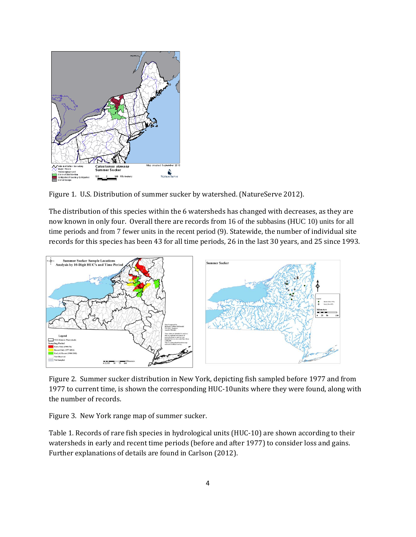

Figure 1. U.S. Distribution of summer sucker by watershed. (NatureServe 2012).

The distribution of this species within the 6 watersheds has changed with decreases, as they are now known in only four. Overall there are records from 16 of the subbasins (HUC 10) units for all time periods and from 7 fewer units in the recent period (9). Statewide, the number of individual site records for this species has been 43 for all time periods, 26 in the last 30 years, and 25 since 1993.



Figure 2. Summer sucker distribution in New York, depicting fish sampled before 1977 and from 1977 to current time, is shown the corresponding HUC-10units where they were found, along with the number of records.

Figure 3. New York range map of summer sucker.

Table 1. Records of rare fish species in hydrological units (HUC-10) are shown according to their watersheds in early and recent time periods (before and after 1977) to consider loss and gains. Further explanations of details are found in Carlson (2012).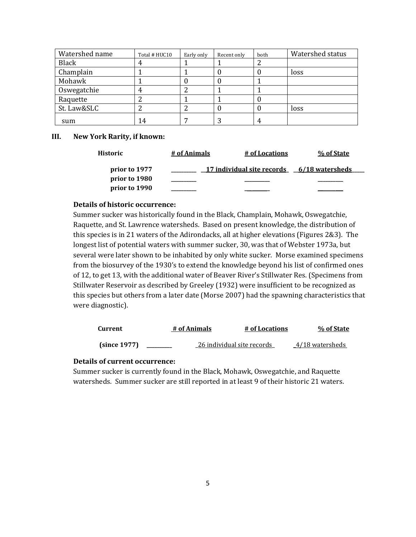| Watershed name | Total # HUC10 | Early only | Recent only | both | Watershed status |
|----------------|---------------|------------|-------------|------|------------------|
| <b>Black</b>   |               |            |             | 2    |                  |
| Champlain      |               |            | υ.          | U    | loss             |
| Mohawk         |               |            |             |      |                  |
| Oswegatchie    |               | ∠          |             |      |                  |
| Raquette       |               |            |             | U    |                  |
| St. Law&SLC    |               |            |             | U    | loss             |
| sum            | 14            |            |             | 4    |                  |

#### **III. New York Rarity, if known:**

| Historic      | # of Animals | # of Locations             | % of State      |  |
|---------------|--------------|----------------------------|-----------------|--|
| prior to 1977 |              | 17 individual site records | 6/18 watersheds |  |
| prior to 1980 |              |                            |                 |  |
| prior to 1990 |              |                            |                 |  |

#### **Details of historic occurrence:**

Summer sucker was historically found in the Black, Champlain, Mohawk, Oswegatchie, Raquette, and St. Lawrence watersheds. Based on present knowledge, the distribution of this species is in 21 waters of the Adirondacks, all at higher elevations (Figures 2&3). The longest list of potential waters with summer sucker, 30, was that of Webster 1973a, but several were later shown to be inhabited by only white sucker. Morse examined specimens from the biosurvey of the 1930's to extend the knowledge beyond his list of confirmed ones of 12, to get 13, with the additional water of Beaver River's Stillwater Res. (Specimens from Stillwater Reservoir as described by Greeley (1932) were insufficient to be recognized as this species but others from a later date (Morse 2007) had the spawning characteristics that were diagnostic).

| Current      | # of Animals | # of Locations             | % of State      |
|--------------|--------------|----------------------------|-----------------|
| (since 1977) |              | 26 individual site records | 4/18 watersheds |

# **Details of current occurrence:**

Summer sucker is currently found in the Black, Mohawk, Oswegatchie, and Raquette watersheds. Summer sucker are still reported in at least 9 of their historic 21 waters.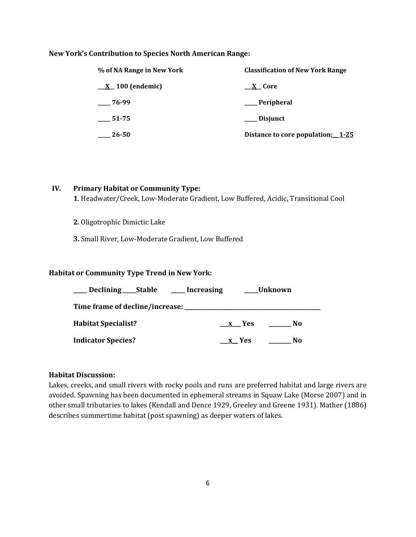#### **New York's Contribution to Species North American Range:**

| % of NA Range in New York     | <b>Classification of New York Range</b> |
|-------------------------------|-----------------------------------------|
| $\underline{X}$ 100 (endemic) | $X$ Core                                |
| $-76-99$                      | Peripheral                              |
| 51-75                         | __ Disjunct                             |
| 26-50                         | Distance to core population: 1-25       |

# **IV. Primary Habitat or Community Type:**

**1**. Headwater/Creek, Low-Moderate Gradient, Low Buffered, Acidic, Transitional Cool

**2.** Oligotrophic Dimictic Lake

**3.** Small River, Low-Moderate Gradient, Low Buffered

#### **Habitat or Community Type Trend in New York:**

| Declining ______ Stable                         | <u>__</u> Increasing |       | Unknown |
|-------------------------------------------------|----------------------|-------|---------|
| Time frame of decline/increase: _______________ |                      |       |         |
| <b>Habitat Specialist?</b>                      |                      | x Yes | No      |
| <b>Indicator Species?</b>                       |                      | x Yes | No      |

# **Habitat Discussion:**

Lakes, creeks, and small rivers with rocky pools and runs are preferred habitat and large rivers are avoided. Spawning has been documented in ephemeral streams in Squaw Lake (Morse 2007) and in other small tributaries to lakes (Kendall and Dence 1929, Greeley and Greene 1931). Mather (1886) describes summertime habitat (post spawning) as deeper waters of lakes.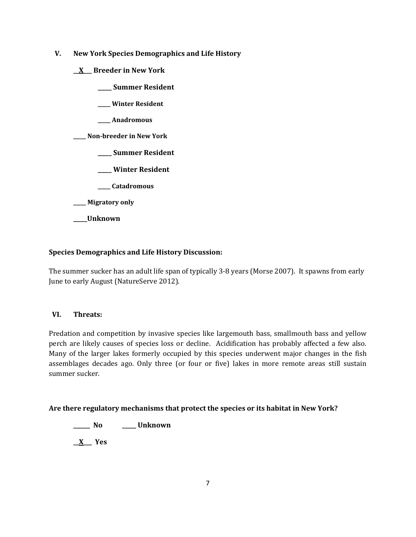- **V. New York Species Demographics and Life History**
	- **\_\_X\_\_\_ Breeder in New York**
		- **\_\_\_\_\_ Summer Resident**
		- **\_\_\_\_\_ Winter Resident**
		- **\_\_\_\_\_ Anadromous**

**\_\_\_\_\_ Non-breeder in New York**

- **\_\_\_\_\_ Summer Resident**
- **\_\_\_\_\_ Winter Resident**
- **\_\_\_\_\_ Catadromous**
- **\_\_\_\_\_ Migratory only**
- **\_\_\_\_\_Unknown**

# **Species Demographics and Life History Discussion:**

The summer sucker has an adult life span of typically 3-8 years (Morse 2007). It spawns from early June to early August (NatureServe 2012).

# **VI. Threats:**

Predation and competition by invasive species like largemouth bass, smallmouth bass and yellow perch are likely causes of species loss or decline. Acidification has probably affected a few also. Many of the larger lakes formerly occupied by this species underwent major changes in the fish assemblages decades ago. Only three (or four or five) lakes in more remote areas still sustain summer sucker.

# **Are there regulatory mechanisms that protect the species or its habitat in New York?**

**\_\_\_\_\_\_ No \_\_\_\_\_ Unknown**

**\_\_X\_\_\_ Yes**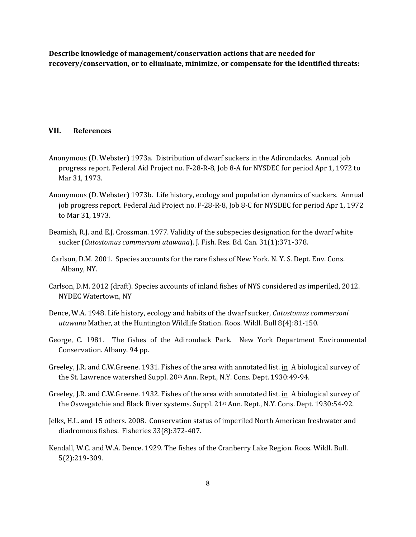**Describe knowledge of management/conservation actions that are needed for recovery/conservation, or to eliminate, minimize, or compensate for the identified threats:**

#### **VII. References**

- Anonymous (D. Webster) 1973a. Distribution of dwarf suckers in the Adirondacks. Annual job progress report. Federal Aid Project no. F-28-R-8, Job 8-A for NYSDEC for period Apr 1, 1972 to Mar 31, 1973.
- Anonymous (D. Webster) 1973b. Life history, ecology and population dynamics of suckers. Annual job progress report. Federal Aid Project no. F-28-R-8, Job 8-C for NYSDEC for period Apr 1, 1972 to Mar 31, 1973.
- Beamish, R.J. and E.J. Crossman. 1977. Validity of the subspecies designation for the dwarf white sucker (*Catostomus commersoni utawana*). J. Fish. Res. Bd. Can. 31(1):371-378.
- Carlson, D.M. 2001. Species accounts for the rare fishes of New York. N. Y. S. Dept. Env. Cons. Albany, NY.
- Carlson, D.M. 2012 (draft). Species accounts of inland fishes of NYS considered as imperiled, 2012. NYDEC Watertown, NY
- Dence, W.A. 1948. Life history, ecology and habits of the dwarf sucker, *Catostomus commersoni utawana* Mather, at the Huntington Wildlife Station. Roos. Wildl. Bull 8(4):81-150.
- George, C. 1981. The fishes of the Adirondack Park. New York Department Environmental Conservation. Albany. 94 pp.
- Greeley, J.R. and C.W.Greene. 1931. Fishes of the area with annotated list. in A biological survey of the St. Lawrence watershed Suppl. 20th Ann. Rept., N.Y. Cons. Dept. 1930:49-94.
- Greeley, J.R. and C.W.Greene. 1932. Fishes of the area with annotated list. in A biological survey of the Oswegatchie and Black River systems. Suppl. 21st Ann. Rept., N.Y. Cons. Dept. 1930:54-92.
- Jelks, H.L. and 15 others. 2008. Conservation status of imperiled North American freshwater and diadromous fishes. Fisheries 33(8):372-407.
- Kendall, W.C. and W.A. Dence. 1929. The fishes of the Cranberry Lake Region. Roos. Wildl. Bull. 5(2):219-309.